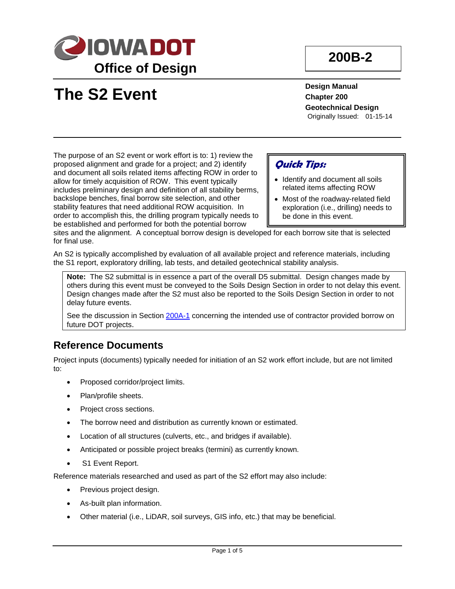

# **200B-2**

**The S2 Event**

**Design Manual Chapter 200 Geotechnical Design** Originally Issued: 01-15-14

The purpose of an S2 event or work effort is to: 1) review the proposed alignment and grade for a project; and 2) identify and document all soils related items affecting ROW in order to allow for timely acquisition of ROW. This event typically includes preliminary design and definition of all stability berms, backslope benches, final borrow site selection, and other stability features that need additional ROW acquisition. In order to accomplish this, the drilling program typically needs to be established and performed for both the potential borrow

### **Quick Tips:**

- Identify and document all soils related items affecting ROW
- Most of the roadway-related field exploration (i.e., drilling) needs to be done in this event.

sites and the alignment. A conceptual borrow design is developed for each borrow site that is selected for final use.

An S2 is typically accomplished by evaluation of all available project and reference materials, including the S1 report, exploratory drilling, lab tests, and detailed geotechnical stability analysis.

**Note:** The S2 submittal is in essence a part of the overall D5 submittal. Design changes made by others during this event must be conveyed to the Soils Design Section in order to not delay this event. Design changes made after the S2 must also be reported to the Soils Design Section in order to not delay future events.

See the discussion in Section 200A-1 concerning the intended use of contractor provided borrow on future DOT projects.

#### **Reference Documents**

Project inputs (documents) typically needed for initiation of an S2 work effort include, but are not limited to:

- Proposed corridor/project limits.
- Plan/profile sheets.
- Project cross sections.
- The borrow need and distribution as currently known or estimated.
- Location of all structures (culverts, etc., and bridges if available).
- Anticipated or possible project breaks (termini) as currently known.
- S1 Event Report.

Reference materials researched and used as part of the S2 effort may also include:

- Previous project design.
- As-built plan information.
- Other material (i.e., LiDAR, soil surveys, GIS info, etc.) that may be beneficial.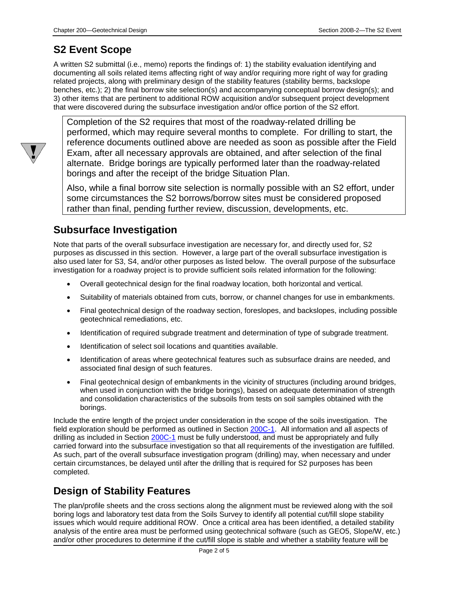### **S2 Event Scope**

A written S2 submittal (i.e., memo) reports the findings of: 1) the stability evaluation identifying and documenting all soils related items affecting right of way and/or requiring more right of way for grading related projects, along with preliminary design of the stability features (stability berms, backslope benches, etc.); 2) the final borrow site selection(s) and accompanying conceptual borrow design(s); and 3) other items that are pertinent to additional ROW acquisition and/or subsequent project development that were discovered during the subsurface investigation and/or office portion of the S2 effort.

Completion of the S2 requires that most of the roadway-related drilling be performed, which may require several months to complete. For drilling to start, the reference documents outlined above are needed as soon as possible after the Field Exam, after all necessary approvals are obtained, and after selection of the final alternate. Bridge borings are typically performed later than the roadway-related borings and after the receipt of the bridge Situation Plan.

Also, while a final borrow site selection is normally possible with an S2 effort, under some circumstances the S2 borrows/borrow sites must be considered proposed rather than final, pending further review, discussion, developments, etc.

### **Subsurface Investigation**

Note that parts of the overall subsurface investigation are necessary for, and directly used for, S2 purposes as discussed in this section. However, a large part of the overall subsurface investigation is also used later for S3, S4, and/or other purposes as listed below. The overall purpose of the subsurface investigation for a roadway project is to provide sufficient soils related information for the following:

- Overall geotechnical design for the final roadway location, both horizontal and vertical.
- Suitability of materials obtained from cuts, borrow, or channel changes for use in embankments.
- Final geotechnical design of the roadway section, foreslopes, and backslopes, including possible geotechnical remediations, etc.
- Identification of required subgrade treatment and determination of type of subgrade treatment.
- Identification of select soil locations and quantities available.
- Identification of areas where geotechnical features such as subsurface drains are needed, and associated final design of such features.
- Final geotechnical design of embankments in the vicinity of structures (including around bridges, when used in conjunction with the bridge borings), based on adequate determination of strength and consolidation characteristics of the subsoils from tests on soil samples obtained with the borings.

Include the entire length of the project under consideration in the scope of the soils investigation. The field exploration should be performed as outlined in Section 200C-1. All information and all aspects of drilling as included in Section 200C-1 must be fully understood, and must be appropriately and fully carried forward into the subsurface investigation so that all requirements of the investigation are fulfilled. As such, part of the overall subsurface investigation program (drilling) may, when necessary and under certain circumstances, be delayed until after the drilling that is required for S2 purposes has been completed.

#### **Design of Stability Features**

The plan/profile sheets and the cross sections along the alignment must be reviewed along with the soil boring logs and laboratory test data from the Soils Survey to identify all potential cut/fill slope stability issues which would require additional ROW. Once a critical area has been identified, a detailed stability analysis of the entire area must be performed using geotechnical software (such as GEO5, Slope/W, etc.) and/or other procedures to determine if the cut/fill slope is stable and whether a stability feature will be

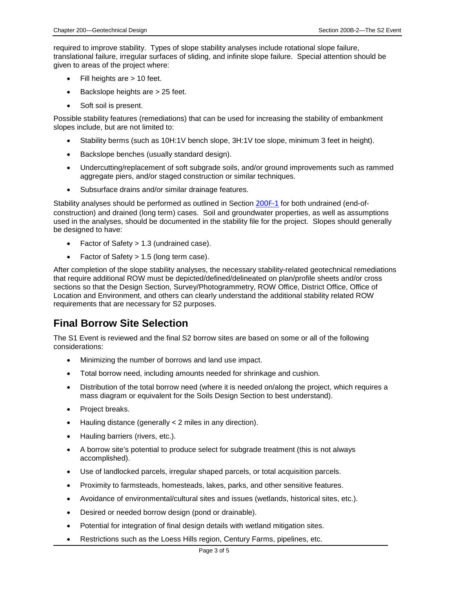required to improve stability. Types of slope stability analyses include rotational slope failure, translational failure, irregular surfaces of sliding, and infinite slope failure. Special attention should be given to areas of the project where:

- Fill heights are > 10 feet.
- Backslope heights are > 25 feet.
- Soft soil is present.

Possible stability features (remediations) that can be used for increasing the stability of embankment slopes include, but are not limited to:

- Stability berms (such as 10H:1V bench slope, 3H:1V toe slope, minimum 3 feet in height).
- Backslope benches (usually standard design).
- Undercutting/replacement of soft subgrade soils, and/or ground improvements such as rammed aggregate piers, and/or staged construction or similar techniques.
- Subsurface drains and/or similar drainage features.

Stability analyses should be performed as outlined in Section 200F-1 for both undrained (end-ofconstruction) and drained (long term) cases. Soil and groundwater properties, as well as assumptions used in the analyses, should be documented in the stability file for the project. Slopes should generally be designed to have:

- Factor of Safety > 1.3 (undrained case).
- Factor of Safety > 1.5 (long term case).

After completion of the slope stability analyses, the necessary stability-related geotechnical remediations that require additional ROW must be depicted/defined/delineated on plan/profile sheets and/or cross sections so that the Design Section, Survey/Photogrammetry, ROW Office, District Office, Office of Location and Environment, and others can clearly understand the additional stability related ROW requirements that are necessary for S2 purposes.

#### **Final Borrow Site Selection**

The S1 Event is reviewed and the final S2 borrow sites are based on some or all of the following considerations:

- Minimizing the number of borrows and land use impact.
- Total borrow need, including amounts needed for shrinkage and cushion.
- Distribution of the total borrow need (where it is needed on/along the project, which requires a mass diagram or equivalent for the Soils Design Section to best understand).
- Project breaks.
- Hauling distance (generally < 2 miles in any direction).
- Hauling barriers (rivers, etc.).
- A borrow site's potential to produce select for subgrade treatment (this is not always accomplished).
- Use of landlocked parcels, irregular shaped parcels, or total acquisition parcels.
- Proximity to farmsteads, homesteads, lakes, parks, and other sensitive features.
- Avoidance of environmental/cultural sites and issues (wetlands, historical sites, etc.).
- Desired or needed borrow design (pond or drainable).
- Potential for integration of final design details with wetland mitigation sites.
- Restrictions such as the Loess Hills region, Century Farms, pipelines, etc.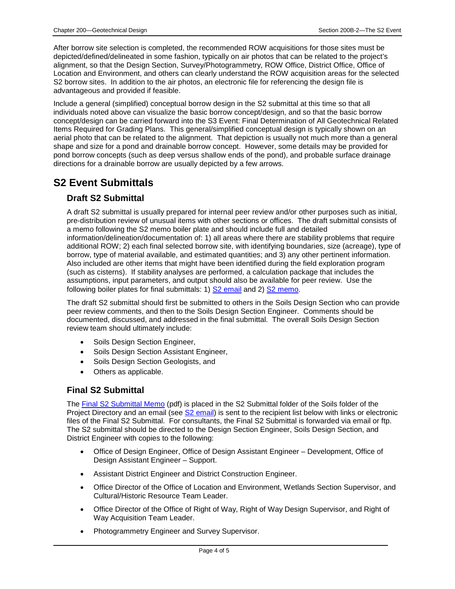After borrow site selection is completed, the recommended ROW acquisitions for those sites must be depicted/defined/delineated in some fashion, typically on air photos that can be related to the project's alignment, so that the Design Section, Survey/Photogrammetry, ROW Office, District Office, Office of Location and Environment, and others can clearly understand the ROW acquisition areas for the selected S2 borrow sites. In addition to the air photos, an electronic file for referencing the design file is advantageous and provided if feasible.

Include a general (simplified) conceptual borrow design in the S2 submittal at this time so that all individuals noted above can visualize the basic borrow concept/design, and so that the basic borrow concept/design can be carried forward into the S3 Event: Final Determination of All Geotechnical Related Items Required for Grading Plans. This general/simplified conceptual design is typically shown on an aerial photo that can be related to the alignment. That depiction is usually not much more than a general shape and size for a pond and drainable borrow concept. However, some details may be provided for pond borrow concepts (such as deep versus shallow ends of the pond), and probable surface drainage directions for a drainable borrow are usually depicted by a few arrows.

## **S2 Event Submittals**

#### **Draft S2 Submittal**

A draft S2 submittal is usually prepared for internal peer review and/or other purposes such as initial, pre-distribution review of unusual items with other sections or offices. The draft submittal consists of a memo following the S2 memo boiler plate and should include full and detailed information/delineation/documentation of: 1) all areas where there are stability problems that require additional ROW; 2) each final selected borrow site, with identifying boundaries, size (acreage), type of borrow, type of material available, and estimated quantities; and 3) any other pertinent information. Also included are other items that might have been identified during the field exploration program (such as cisterns). If stability analyses are performed, a calculation package that includes the assumptions, input parameters, and output should also be available for peer review. Use the following boiler plates for final submittals: 1) S2 email and 2) S2 memo.

The draft S2 submittal should first be submitted to others in the Soils Design Section who can provide peer review comments, and then to the Soils Design Section Engineer. Comments should be documented, discussed, and addressed in the final submittal. The overall Soils Design Section review team should ultimately include:

- Soils Design Section Engineer,
- Soils Design Section Assistant Engineer,
- Soils Design Section Geologists, and
- Others as applicable.

#### **Final S2 Submittal**

The Final S2 Submittal Memo (pdf) is placed in the S2 Submittal folder of the Soils folder of the Project Directory and an email (see S2 email) is sent to the recipient list below with links or electronic files of the Final S2 Submittal. For consultants, the Final S2 Submittal is forwarded via email or ftp. The S2 submittal should be directed to the Design Section Engineer, Soils Design Section, and District Engineer with copies to the following:

- Office of Design Engineer, Office of Design Assistant Engineer Development, Office of Design Assistant Engineer – Support.
- Assistant District Engineer and District Construction Engineer.
- Office Director of the Office of Location and Environment, Wetlands Section Supervisor, and Cultural/Historic Resource Team Leader.
- Office Director of the Office of Right of Way, Right of Way Design Supervisor, and Right of Way Acquisition Team Leader.
- Photogrammetry Engineer and Survey Supervisor.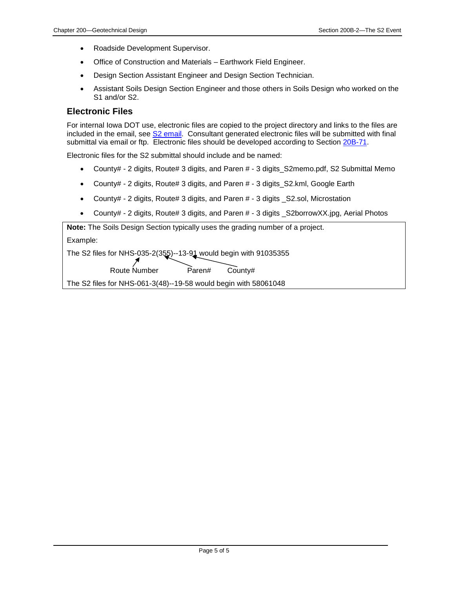- Roadside Development Supervisor.
- Office of Construction and Materials Earthwork Field Engineer.
- Design Section Assistant Engineer and Design Section Technician.
- Assistant Soils Design Section Engineer and those others in Soils Design who worked on the S1 and/or S2.

#### **Electronic Files**

For internal Iowa DOT use, electronic files are copied to the project directory and links to the files are included in the email, see S2 email. Consultant generated electronic files will be submitted with final submittal via email or ftp. Electronic files should be developed according to Section 20B-71.

Electronic files for the S2 submittal should include and be named:

- County# 2 digits, Route# 3 digits, and Paren # 3 digits S2memo.pdf, S2 Submittal Memo
- County# 2 digits, Route# 3 digits, and Paren # 3 digits\_S2.kml, Google Earth
- County# 2 digits, Route# 3 digits, and Paren # 3 digits S2.sol, Microstation
- County# 2 digits, Route# 3 digits, and Paren # 3 digits S2borrowXX.jpg, Aerial Photos

**Note:** The Soils Design Section typically uses the grading number of a project.

Example:

The S2 files for NHS-035-2(355)--13-91 would begin with 91035355

Route Number Paren# County#

The S2 files for NHS-061-3(48)--19-58 would begin with 58061048